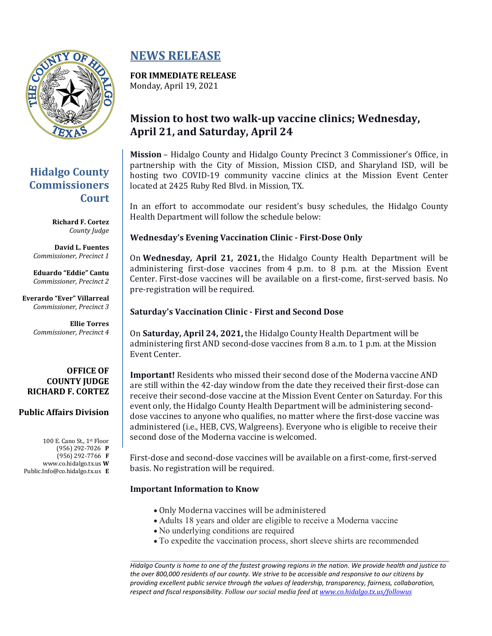

### **Hidalgo County Commissioners Court**

**Richard F. Cortez** *County Judge*

**David L. Fuentes** *Commissioner, Precinct 1*

**Eduardo "Eddie" Cantu** *Commissioner, Precinct 2*

**Everardo "Ever" Villarreal** *Commissioner, Precinct 3*

> **Ellie Torres** *Commissioner, Precinct 4*

#### **OFFICE OF COUNTY JUDGE RICHARD F. CORTEZ**

### **Public Affairs Division**

100 E. Cano St., 1st Floor (956) 292-7026 **P** (956) 292-7766 **F** www.co.hidalgo.tx.us **W** Public.Info@co.hidalgo.tx.us **E**

## **NEWS RELEASE**

# **FOR IMMEDIATE RELEASE**

Monday, April 19, 2021

### **Mission to host two walk-up vaccine clinics; Wednesday, April 21, and Saturday, April 24**

**Mission** – Hidalgo County and Hidalgo County Precinct 3 Commissioner's Office, in partnership with the City of Mission, Mission CISD, and Sharyland ISD, will be hosting two COVID-19 community vaccine clinics at the Mission Event Center located at 2425 Ruby Red Blvd. in Mission, TX.

In an effort to accommodate our resident's busy schedules, the Hidalgo County Health Department will follow the schedule below:

### **Wednesday's Evening Vaccination Clinic - First-Dose Only**

On **Wednesday, April 21, 2021,** the Hidalgo County Health Department will be administering first-dose vaccines from 4 p.m. to 8 p.m. at the Mission Event Center. First-dose vaccines will be available on a first-come, first-served basis. No pre-registration will be required.

### **Saturday's Vaccination Clinic - First and Second Dose**

On **Saturday, April 24, 2021,** the Hidalgo County Health Department will be administering first AND second-dose vaccines from 8 a.m. to 1 p.m. at the Mission Event Center.

**Important!** Residents who missed their second dose of the Moderna vaccine AND are still within the 42-day window from the date they received their first-dose can receive their second-dose vaccine at the Mission Event Center on Saturday. For this event only, the Hidalgo County Health Department will be administering seconddose vaccines to anyone who qualifies, no matter where the first-dose vaccine was administered (i.e., HEB, CVS, Walgreens). Everyone who is eligible to receive their second dose of the Moderna vaccine is welcomed.

First-dose and second-dose vaccines will be available on a first-come, first-served basis. No registration will be required.

### **Important Information to Know**

- Only Moderna vaccines will be administered
- Adults 18 years and older are eligible to receive a Moderna vaccine
- No underlying conditions are required
- To expedite the vaccination process, short sleeve shirts are recommended

*Hidalgo County is home to one of the fastest growing regions in the nation. We provide health and justice to the over 800,000 residents of our county. We strive to be accessible and responsive to our citizens by providing excellent public service through the values of leadership, transparency, fairness, collaboration, respect and fiscal responsibility. Follow our social media feed at [www.co.hidalgo.tx.us/followus](http://www.co.hidalgo.tx.us/followus)*